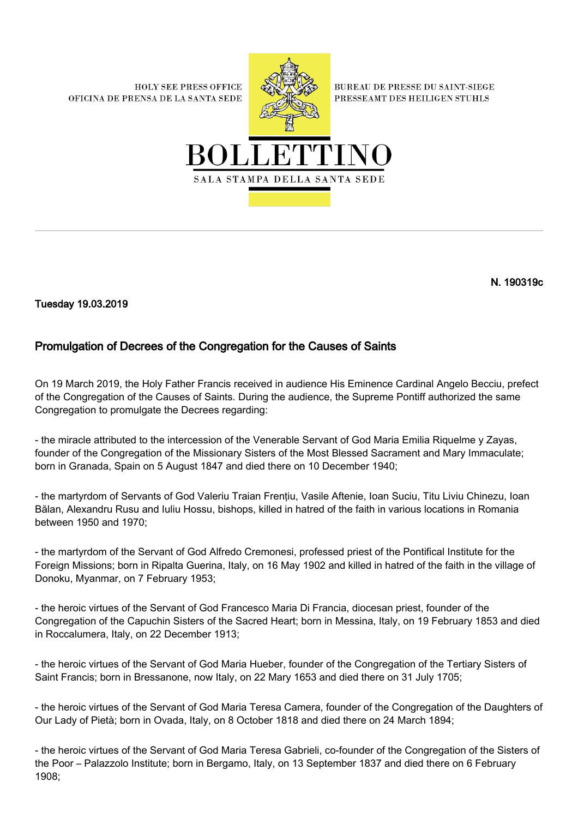**HOLY SEE PRESS OFFICE** OFICINA DE PRENSA DE LA SANTA SEDE



**BUREAU DE PRESSE DU SAINT-SIEGE** PRESSEAMT DES HEILIGEN STUHLS



N. 190319c

Tuesday 19.03.2019

## Promulgation of Decrees of the Congregation for the Causes of Saints

On 19 March 2019, the Holy Father Francis received in audience His Eminence Cardinal Angelo Becciu, prefect of the Congregation of the Causes of Saints. During the audience, the Supreme Pontiff authorized the same Congregation to promulgate the Decrees regarding:

- the miracle attributed to the intercession of the Venerable Servant of God Maria Emilia Riquelme y Zayas, founder of the Congregation of the Missionary Sisters of the Most Blessed Sacrament and Mary Immaculate; born in Granada, Spain on 5 August 1847 and died there on 10 December 1940;

- the martyrdom of Servants of God Valeriu Traian Frenţiu, Vasile Aftenie, Ioan Suciu, Titu Liviu Chinezu, Ioan Bălan, Alexandru Rusu and Iuliu Hossu, bishops, killed in hatred of the faith in various locations in Romania between 1950 and 1970;

- the martyrdom of the Servant of God Alfredo Cremonesi, professed priest of the Pontifical Institute for the Foreign Missions; born in Ripalta Guerina, Italy, on 16 May 1902 and killed in hatred of the faith in the village of Donoku, Myanmar, on 7 February 1953;

- the heroic virtues of the Servant of God Francesco Maria Di Francia, diocesan priest, founder of the Congregation of the Capuchin Sisters of the Sacred Heart; born in Messina, Italy, on 19 February 1853 and died in Roccalumera, Italy, on 22 December 1913;

- the heroic virtues of the Servant of God Maria Hueber, founder of the Congregation of the Tertiary Sisters of Saint Francis; born in Bressanone, now Italy, on 22 Mary 1653 and died there on 31 July 1705;

- the heroic virtues of the Servant of God Maria Teresa Camera, founder of the Congregation of the Daughters of Our Lady of Pietà; born in Ovada, Italy, on 8 October 1818 and died there on 24 March 1894;

- the heroic virtues of the Servant of God Maria Teresa Gabrieli, co-founder of the Congregation of the Sisters of the Poor – Palazzolo Institute; born in Bergamo, Italy, on 13 September 1837 and died there on 6 February 1908;